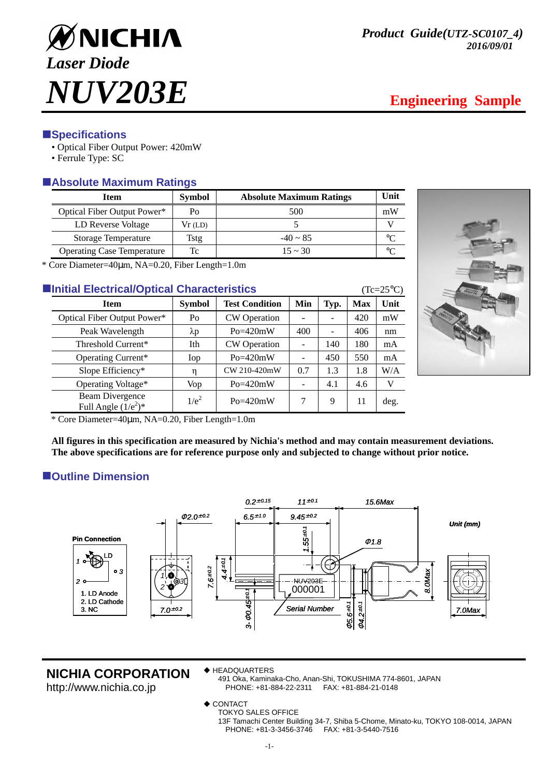

## **ESpecifications**

- Optical Fiber Output Power: 420mW
- Ferrule Type: SC

# -**Absolute Maximum Ratings**

| <b>Item</b>                       | <b>Symbol</b> | <b>Absolute Maximum Ratings</b> | Unit |  |
|-----------------------------------|---------------|---------------------------------|------|--|
| Optical Fiber Output Power*       | Po            | 500                             | mW   |  |
| LD Reverse Voltage                | Vr(LD)        |                                 |      |  |
| Storage Temperature               | Tstg          | $-40 \sim 85$                   | ∘∩   |  |
| <b>Operating Case Temperature</b> | Tc            | $15 \sim 30$                    | ∘∩   |  |

\* Core Diameter=40µm, NA=0.20, Fiber Length=1.0m

| <b>Elnitial Electrical/Optical Characteristics</b> |                                           |               |                       |     |      |            | $(Tc=25^{\circ}C)$ |  |
|----------------------------------------------------|-------------------------------------------|---------------|-----------------------|-----|------|------------|--------------------|--|
|                                                    | <b>Item</b>                               | <b>Symbol</b> | <b>Test Condition</b> | Min | Typ. | <b>Max</b> | Unit               |  |
|                                                    | Optical Fiber Output Power*               | Po            | CW Operation          |     |      | 420        | mW                 |  |
|                                                    | Peak Wavelength                           | $\lambda p$   | $Po = 420mW$          | 400 |      | 406        | nm                 |  |
|                                                    | Threshold Current*                        | Ith           | <b>CW</b> Operation   |     | 140  | 180        | mA                 |  |
|                                                    | Operating Current*                        | Iop           | $Po = 420mW$          |     | 450  | 550        | mA                 |  |
|                                                    | Slope Efficiency*                         | η             | CW 210-420mW          | 0.7 | 1.3  | 1.8        | W/A                |  |
|                                                    | Operating Voltage*                        | Vop           | $Po = 420mW$          |     | 4.1  | 4.6        | V                  |  |
|                                                    | Beam Divergence<br>Full Angle $(1/e^2)^*$ | $1/e^2$       | $Po = 420mW$          | 7   | 9    | 11         | deg.               |  |



\* Core Diameter=40µm, NA=0.20, Fiber Length=1.0m

**All figures in this specification are measured by Nichia's method and may contain measurement deviations. The above specifications are for reference purpose only and subjected to change without prior notice.** 

# -**Outline Dimension**



## **NICHIA CORPORATION**

http://www.nichia.co.jp

- HEADQUARTERS
	- 491 Oka, Kaminaka-Cho, Anan-Shi, TOKUSHIMA 774-8601, JAPAN PHONE: +81-884-22-2311 FAX: +81-884-21-0148
- ◆ CONTACT
	- TOKYO SALES OFFICE
		- 13F Tamachi Center Building 34-7, Shiba 5-Chome, Minato-ku, TOKYO 108-0014, JAPAN PHONE: +81-3-3456-3746 FAX: +81-3-5440-7516